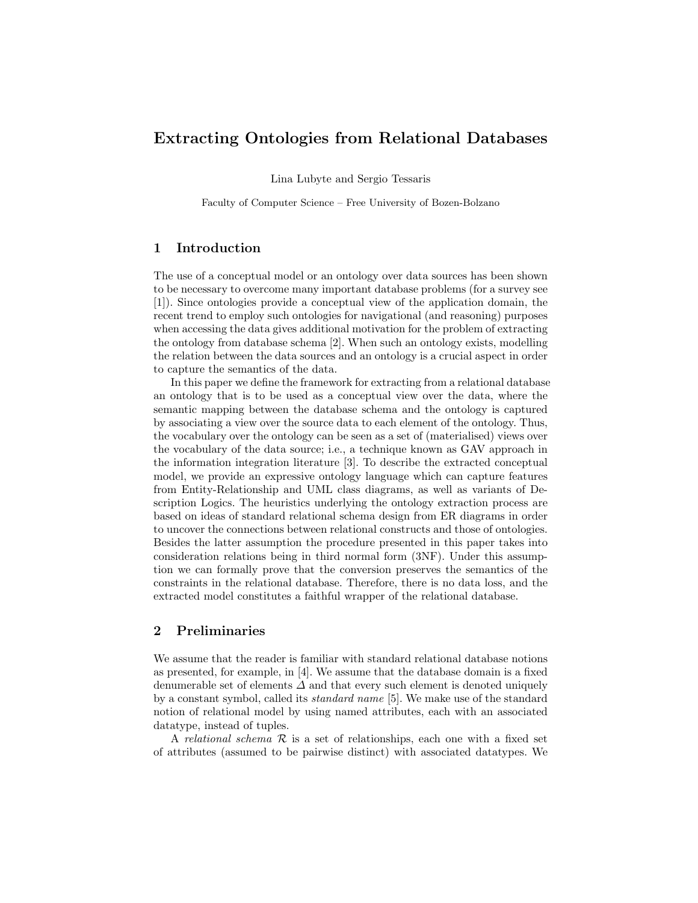# Extracting Ontologies from Relational Databases

Lina Lubyte and Sergio Tessaris

Faculty of Computer Science – Free University of Bozen-Bolzano

## 1 Introduction

The use of a conceptual model or an ontology over data sources has been shown to be necessary to overcome many important database problems (for a survey see [1]). Since ontologies provide a conceptual view of the application domain, the recent trend to employ such ontologies for navigational (and reasoning) purposes when accessing the data gives additional motivation for the problem of extracting the ontology from database schema [2]. When such an ontology exists, modelling the relation between the data sources and an ontology is a crucial aspect in order to capture the semantics of the data.

In this paper we define the framework for extracting from a relational database an ontology that is to be used as a conceptual view over the data, where the semantic mapping between the database schema and the ontology is captured by associating a view over the source data to each element of the ontology. Thus, the vocabulary over the ontology can be seen as a set of (materialised) views over the vocabulary of the data source; i.e., a technique known as GAV approach in the information integration literature [3]. To describe the extracted conceptual model, we provide an expressive ontology language which can capture features from Entity-Relationship and UML class diagrams, as well as variants of Description Logics. The heuristics underlying the ontology extraction process are based on ideas of standard relational schema design from ER diagrams in order to uncover the connections between relational constructs and those of ontologies. Besides the latter assumption the procedure presented in this paper takes into consideration relations being in third normal form (3NF). Under this assumption we can formally prove that the conversion preserves the semantics of the constraints in the relational database. Therefore, there is no data loss, and the extracted model constitutes a faithful wrapper of the relational database.

### 2 Preliminaries

We assume that the reader is familiar with standard relational database notions as presented, for example, in [4]. We assume that the database domain is a fixed denumerable set of elements  $\Delta$  and that every such element is denoted uniquely by a constant symbol, called its standard name [5]. We make use of the standard notion of relational model by using named attributes, each with an associated datatype, instead of tuples.

A relational schema  $R$  is a set of relationships, each one with a fixed set of attributes (assumed to be pairwise distinct) with associated datatypes. We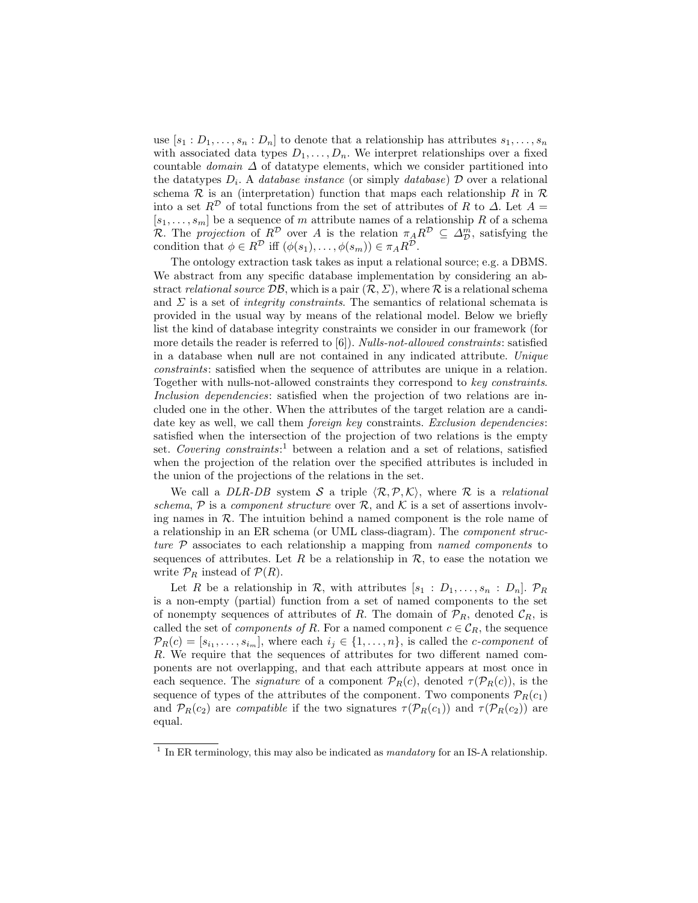use  $[s_1 : D_1, \ldots, s_n : D_n]$  to denote that a relationship has attributes  $s_1, \ldots, s_n$ with associated data types  $D_1, \ldots, D_n$ . We interpret relationships over a fixed countable *domain*  $\Delta$  of datatype elements, which we consider partitioned into the datatypes  $D_i$ . A *database instance* (or simply *database*)  $D$  over a relational schema  $R$  is an (interpretation) function that maps each relationship R in  $R$ into a set  $R^{\mathcal{D}}$  of total functions from the set of attributes of R to  $\Delta$ . Let  $A =$  $[s_1, \ldots, s_m]$  be a sequence of m attribute names of a relationship R of a schema R. The projection of  $R^{\mathcal{D}}$  over A is the relation  $\pi_A R^{\mathcal{D}} \subseteq \Delta_{\mathcal{D}}^m$ , satisfying the condition that  $\phi \in R^{\mathcal{D}}$  iff  $(\phi(s_1), \ldots, \phi(s_m)) \in \pi_A R^{\mathcal{D}}$ .

The ontology extraction task takes as input a relational source; e.g. a DBMS. We abstract from any specific database implementation by considering an abstract relational source  $\mathcal{DB}$ , which is a pair  $(\mathcal{R}, \Sigma)$ , where  $\mathcal R$  is a relational schema and  $\Sigma$  is a set of *integrity constraints*. The semantics of relational schemata is provided in the usual way by means of the relational model. Below we briefly list the kind of database integrity constraints we consider in our framework (for more details the reader is referred to [6]). Nulls-not-allowed constraints: satisfied in a database when null are not contained in any indicated attribute. Unique constraints: satisfied when the sequence of attributes are unique in a relation. Together with nulls-not-allowed constraints they correspond to key constraints. Inclusion dependencies: satisfied when the projection of two relations are included one in the other. When the attributes of the target relation are a candidate key as well, we call them *foreign key* constraints. *Exclusion dependencies*: satisfied when the intersection of the projection of two relations is the empty set. Covering constraints:<sup>1</sup> between a relation and a set of relations, satisfied when the projection of the relation over the specified attributes is included in the union of the projections of the relations in the set.

We call a DLR-DB system S a triple  $\langle \mathcal{R}, \mathcal{P}, \mathcal{K} \rangle$ , where R is a relational schema,  $\mathcal P$  is a component structure over  $\mathcal R$ , and  $\mathcal K$  is a set of assertions involving names in R. The intuition behind a named component is the role name of a relationship in an ER schema (or UML class-diagram). The component structure P associates to each relationship a mapping from named components to sequences of attributes. Let R be a relationship in  $\mathcal{R}$ , to ease the notation we write  $\mathcal{P}_R$  instead of  $\mathcal{P}(R)$ .

Let R be a relationship in R, with attributes  $[s_1 : D_1, \ldots, s_n : D_n]$ .  $\mathcal{P}_R$ is a non-empty (partial) function from a set of named components to the set of nonempty sequences of attributes of R. The domain of  $\mathcal{P}_R$ , denoted  $\mathcal{C}_R$ , is called the set of *components of R*. For a named component  $c \in \mathcal{C}_R$ , the sequence  $\mathcal{P}_R(c) = [s_{i_1}, \ldots, s_{i_m}],$  where each  $i_j \in \{1, \ldots, n\}$ , is called the *c*-component of R. We require that the sequences of attributes for two different named components are not overlapping, and that each attribute appears at most once in each sequence. The *signature* of a component  $\mathcal{P}_R(c)$ , denoted  $\tau(\mathcal{P}_R(c))$ , is the sequence of types of the attributes of the component. Two components  $\mathcal{P}_R(c_1)$ and  $\mathcal{P}_R(c_2)$  are *compatible* if the two signatures  $\tau(\mathcal{P}_R(c_1))$  and  $\tau(\mathcal{P}_R(c_2))$  are equal.

<sup>&</sup>lt;sup>1</sup> In ER terminology, this may also be indicated as *mandatory* for an IS-A relationship.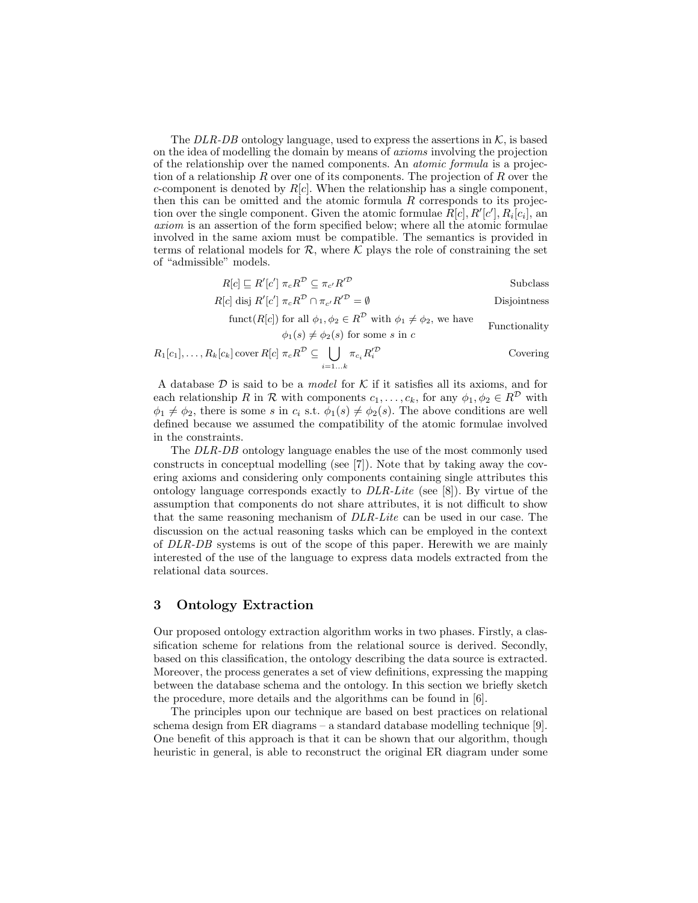The DLR-DB ontology language, used to express the assertions in  $K$ , is based on the idea of modelling the domain by means of axioms involving the projection of the relationship over the named components. An atomic formula is a projection of a relationship R over one of its components. The projection of R over the c-component is denoted by  $R[c]$ . When the relationship has a single component, then this can be omitted and the atomic formula  $R$  corresponds to its projection over the single component. Given the atomic formulae  $\hat{R}[c], R'[c'], R_i[c_i],$  an axiom is an assertion of the form specified below; where all the atomic formulae involved in the same axiom must be compatible. The semantics is provided in terms of relational models for  $\mathcal{R}$ , where  $\mathcal{K}$  plays the role of constraining the set of "admissible" models.

> $R[c] \sqsubseteq R'[c'] \pi_c R^{\mathcal{D}} \subseteq \pi_{c'}R$ Subclass  $R[c]$  disj  $R'[c'] \pi_c R^{\mathcal{D}} \cap \pi_{c'} R$ Disjointness

funct( $R[c]$ ) for all  $\phi_1, \phi_2 \in R^{\mathcal{D}}$  with  $\phi_1 \neq \phi_2$ , we have Functionality

 $\phi_1(s) \neq \phi_2(s)$  for some s in c

$$
R_1[c_1], \ldots, R_k[c_k] \text{ cover } R[c] \pi_c R^{\mathcal{D}} \subseteq \bigcup_{i=1...k} \pi_{c_i} R_i'^{\mathcal{D}}
$$
 Covering

A database  $\mathcal D$  is said to be a *model* for  $\mathcal K$  if it satisfies all its axioms, and for each relationship R in R with components  $c_1, \ldots, c_k$ , for any  $\phi_1, \phi_2 \in R^{\mathcal{D}}$  with  $\phi_1 \neq \phi_2$ , there is some s in  $c_i$  s.t.  $\phi_1(s) \neq \phi_2(s)$ . The above conditions are well defined because we assumed the compatibility of the atomic formulae involved in the constraints.

The DLR-DB ontology language enables the use of the most commonly used constructs in conceptual modelling (see [7]). Note that by taking away the covering axioms and considering only components containing single attributes this ontology language corresponds exactly to  $DLR\text{-}Life$  (see [8]). By virtue of the assumption that components do not share attributes, it is not difficult to show that the same reasoning mechanism of DLR-Lite can be used in our case. The discussion on the actual reasoning tasks which can be employed in the context of DLR-DB systems is out of the scope of this paper. Herewith we are mainly interested of the use of the language to express data models extracted from the relational data sources.

## 3 Ontology Extraction

Our proposed ontology extraction algorithm works in two phases. Firstly, a classification scheme for relations from the relational source is derived. Secondly, based on this classification, the ontology describing the data source is extracted. Moreover, the process generates a set of view definitions, expressing the mapping between the database schema and the ontology. In this section we briefly sketch the procedure, more details and the algorithms can be found in [6].

The principles upon our technique are based on best practices on relational schema design from ER diagrams – a standard database modelling technique [9]. One benefit of this approach is that it can be shown that our algorithm, though heuristic in general, is able to reconstruct the original ER diagram under some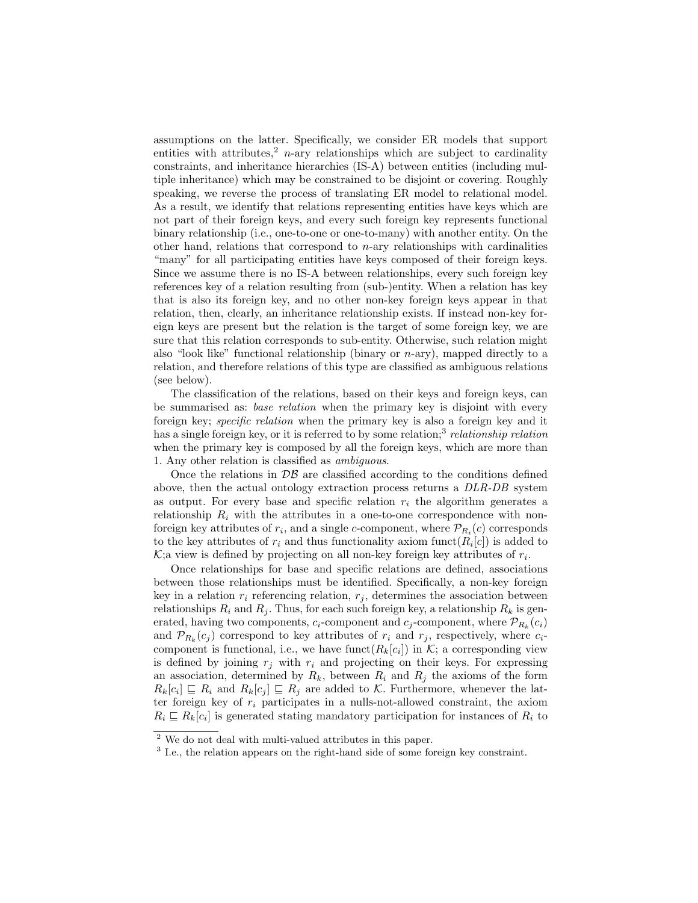assumptions on the latter. Specifically, we consider ER models that support entities with attributes,<sup>2</sup> n-ary relationships which are subject to cardinality constraints, and inheritance hierarchies (IS-A) between entities (including multiple inheritance) which may be constrained to be disjoint or covering. Roughly speaking, we reverse the process of translating ER model to relational model. As a result, we identify that relations representing entities have keys which are not part of their foreign keys, and every such foreign key represents functional binary relationship (i.e., one-to-one or one-to-many) with another entity. On the other hand, relations that correspond to  $n$ -ary relationships with cardinalities "many" for all participating entities have keys composed of their foreign keys. Since we assume there is no IS-A between relationships, every such foreign key references key of a relation resulting from (sub-)entity. When a relation has key that is also its foreign key, and no other non-key foreign keys appear in that relation, then, clearly, an inheritance relationship exists. If instead non-key foreign keys are present but the relation is the target of some foreign key, we are sure that this relation corresponds to sub-entity. Otherwise, such relation might also "look like" functional relationship (binary or  $n$ -ary), mapped directly to a relation, and therefore relations of this type are classified as ambiguous relations (see below).

The classification of the relations, based on their keys and foreign keys, can be summarised as: base relation when the primary key is disjoint with every foreign key; specific relation when the primary key is also a foreign key and it has a single foreign key, or it is referred to by some relation;<sup>3</sup> relationship relation when the primary key is composed by all the foreign keys, which are more than 1. Any other relation is classified as ambiguous.

Once the relations in  $\mathcal{DB}$  are classified according to the conditions defined above, then the actual ontology extraction process returns a DLR-DB system as output. For every base and specific relation  $r_i$  the algorithm generates a relationship  $R_i$  with the attributes in a one-to-one correspondence with nonforeign key attributes of  $r_i$ , and a single *c*-component, where  $\mathcal{P}_{R_i}(c)$  corresponds to the key attributes of  $r_i$  and thus functionality axiom funct $(R_i[c])$  is added to  $K$ ; a view is defined by projecting on all non-key foreign key attributes of  $r_i$ .

Once relationships for base and specific relations are defined, associations between those relationships must be identified. Specifically, a non-key foreign key in a relation  $r_i$  referencing relation,  $r_j$ , determines the association between relationships  $R_i$  and  $R_j$ . Thus, for each such foreign key, a relationship  $R_k$  is generated, having two components,  $c_i$ -component and  $c_j$ -component, where  $\mathcal{P}_{R_k}(c_i)$ and  $\mathcal{P}_{R_k}(c_j)$  correspond to key attributes of  $r_i$  and  $r_j$ , respectively, where  $c_i$ component is functional, i.e., we have funct $(R_k[c_i])$  in K; a corresponding view is defined by joining  $r_j$  with  $r_i$  and projecting on their keys. For expressing an association, determined by  $R_k$ , between  $R_i$  and  $R_j$  the axioms of the form  $R_k[c_i] \sqsubseteq R_i$  and  $R_k[c_j] \sqsubseteq R_j$  are added to K. Furthermore, whenever the latter foreign key of  $r_i$  participates in a nulls-not-allowed constraint, the axiom  $R_i \subseteq R_k[c_i]$  is generated stating mandatory participation for instances of  $R_i$  to

<sup>2</sup> We do not deal with multi-valued attributes in this paper.

<sup>&</sup>lt;sup>3</sup> I.e., the relation appears on the right-hand side of some foreign key constraint.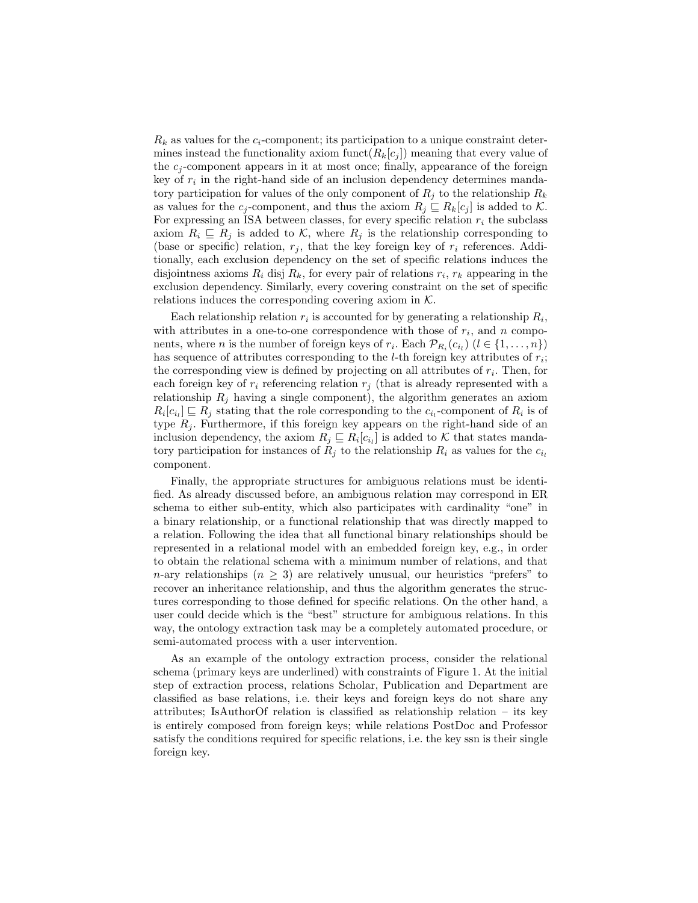$R_k$  as values for the  $c_i$ -component; its participation to a unique constraint determines instead the functionality axiom funct $(R_k[c_j])$  meaning that every value of the  $c_i$ -component appears in it at most once; finally, appearance of the foreign key of  $r_i$  in the right-hand side of an inclusion dependency determines mandatory participation for values of the only component of  $R_j$  to the relationship  $R_k$ as values for the  $c_j$ -component, and thus the axiom  $R_j \subseteq R_k[c_j]$  is added to K. For expressing an ISA between classes, for every specific relation  $r_i$  the subclass axiom  $R_i \subseteq R_j$  is added to K, where  $R_j$  is the relationship corresponding to (base or specific) relation,  $r_j$ , that the key foreign key of  $r_i$  references. Additionally, each exclusion dependency on the set of specific relations induces the disjointness axioms  $R_i$  disj  $R_k$ , for every pair of relations  $r_i$ ,  $r_k$  appearing in the exclusion dependency. Similarly, every covering constraint on the set of specific relations induces the corresponding covering axiom in  $K$ .

Each relationship relation  $r_i$  is accounted for by generating a relationship  $R_i$ , with attributes in a one-to-one correspondence with those of  $r_i$ , and n components, where *n* is the number of foreign keys of  $r_i$ . Each  $\mathcal{P}_{R_i}(c_{i_l})$  ( $l \in \{1, ..., n\}$ ) has sequence of attributes corresponding to the *l*-th foreign key attributes of  $r_i$ ; the corresponding view is defined by projecting on all attributes of  $r_i$ . Then, for each foreign key of  $r_i$  referencing relation  $r_j$  (that is already represented with a relationship  $R_j$  having a single component), the algorithm generates an axiom  $R_i[c_{i_l}] \sqsubseteq R_j$  stating that the role corresponding to the  $c_{i_l}$ -component of  $R_i$  is of type  $R_j$ . Furthermore, if this foreign key appears on the right-hand side of an inclusion dependency, the axiom  $R_j \subseteq R_i[c_{i_l}]$  is added to K that states mandatory participation for instances of  $R_i$  to the relationship  $R_i$  as values for the  $c_i$ component.

Finally, the appropriate structures for ambiguous relations must be identified. As already discussed before, an ambiguous relation may correspond in ER schema to either sub-entity, which also participates with cardinality "one" in a binary relationship, or a functional relationship that was directly mapped to a relation. Following the idea that all functional binary relationships should be represented in a relational model with an embedded foreign key, e.g., in order to obtain the relational schema with a minimum number of relations, and that n-ary relationships  $(n > 3)$  are relatively unusual, our heuristics "prefers" to recover an inheritance relationship, and thus the algorithm generates the structures corresponding to those defined for specific relations. On the other hand, a user could decide which is the "best" structure for ambiguous relations. In this way, the ontology extraction task may be a completely automated procedure, or semi-automated process with a user intervention.

As an example of the ontology extraction process, consider the relational schema (primary keys are underlined) with constraints of Figure 1. At the initial step of extraction process, relations Scholar, Publication and Department are classified as base relations, i.e. their keys and foreign keys do not share any attributes; IsAuthorOf relation is classified as relationship relation – its key is entirely composed from foreign keys; while relations PostDoc and Professor satisfy the conditions required for specific relations, i.e. the key ssn is their single foreign key.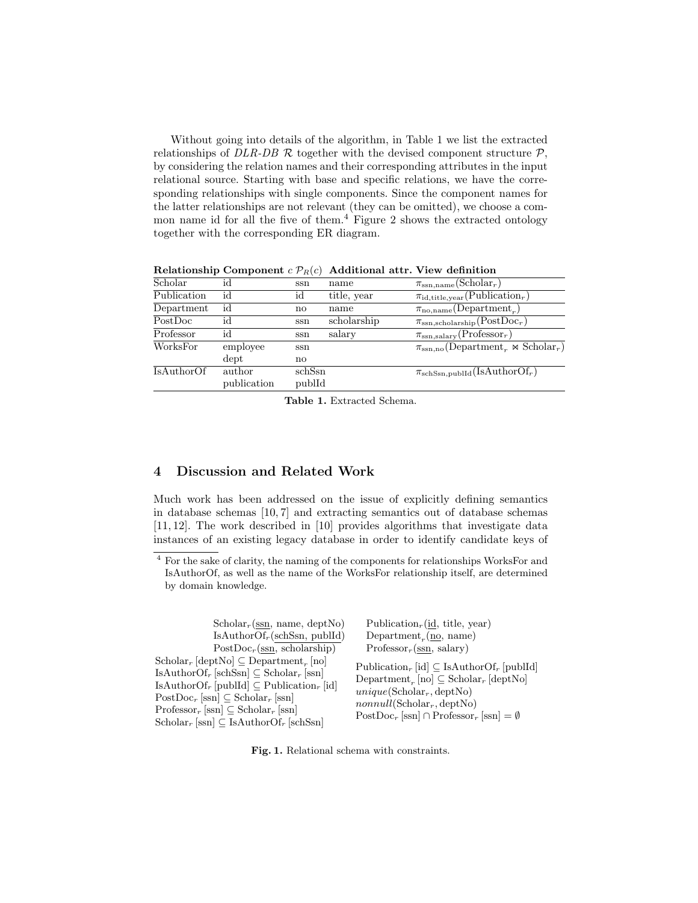Without going into details of the algorithm, in Table 1 we list the extracted relationships of DLR-DB R together with the devised component structure  $\mathcal{P}$ . by considering the relation names and their corresponding attributes in the input relational source. Starting with base and specific relations, we have the corresponding relationships with single components. Since the component names for the latter relationships are not relevant (they can be omitted), we choose a common name id for all the five of them.<sup>4</sup> Figure 2 shows the extracted ontology together with the corresponding ER diagram.

| id             | ssn    | name        | $\pi_{\mathrm{ssn},\mathrm{name}}(\mathrm{Scholar}_r)$             |
|----------------|--------|-------------|--------------------------------------------------------------------|
| id             | id     | title, year | $\pi_{\text{id}, \text{title}, \text{year}}(\text{Publication}_r)$ |
| id             | no     | name        | $\pi_{\text{no},\text{name}}(\text{Department}_r)$                 |
| id             | ssn    | scholarship | $\pi_{\text{ssn},\text{scholarship}}(\text{PostDoc}_r)$            |
| id             | ssn    | salary      | $\pi_{ssn, \text{salary}}(\text{Professor}_r)$                     |
| employee       | ssn    |             | $\pi_{\rm ssn.no}$ (Department, $\otimes$ Scholar <sub>r</sub> )   |
| $_{\rm{dept}}$ | no     |             |                                                                    |
| author         | schSsn |             | $\pi_{\text{schSsn,publid}}(\text{IsAuthorOf}_r)$                  |
| publication    |        |             |                                                                    |
|                |        |             | publId                                                             |

Relationship Component  $c \mathcal{P}_R(c)$  Additional attr. View definition

Table 1. Extracted Schema.

# 4 Discussion and Related Work

Much work has been addressed on the issue of explicitly defining semantics in database schemas [10, 7] and extracting semantics out of database schemas [11, 12]. The work described in [10] provides algorithms that investigate data instances of an existing legacy database in order to identify candidate keys of

 $\overline{4}$  For the sake of clarity, the naming of the components for relationships WorksFor and IsAuthorOf, as well as the name of the WorksFor relationship itself, are determined by domain knowledge.

| $Scholar_r(ssn, name, depthNo)$                                                                                                                                                                                                                                                                                                                                                                                                                                                                  | Publication <sub>r</sub> (id. title, year)                                                                                                                                                                                                                                                          |
|--------------------------------------------------------------------------------------------------------------------------------------------------------------------------------------------------------------------------------------------------------------------------------------------------------------------------------------------------------------------------------------------------------------------------------------------------------------------------------------------------|-----------------------------------------------------------------------------------------------------------------------------------------------------------------------------------------------------------------------------------------------------------------------------------------------------|
| $IsAuthorOfr(schSsn, publId)$                                                                                                                                                                                                                                                                                                                                                                                                                                                                    | Department <sub>x</sub> (no, name)                                                                                                                                                                                                                                                                  |
| PostDoc <sub>r</sub> (ssn, scholarship)                                                                                                                                                                                                                                                                                                                                                                                                                                                          | $Professor_r(ssn, salary)$                                                                                                                                                                                                                                                                          |
| $\operatorname{Scholar}_r[\operatorname{depthNo}] \subseteq \operatorname{Department}_r[\operatorname{no}]$<br>$\text{IsAuthorOf}_{r}[\text{schSsn}] \subseteq \text{Scholar}_{r}[\text{ssn}]$<br>$\text{IsAuthorOf}_r$ [publId] $\subseteq$ Publication <sub>r</sub> [id]<br>$PostDoc_r$ [ssn] $\subseteq$ Scholar <sub>r</sub> [ssn]<br>$\text{Professor}_r \,[\text{ssn}] \subseteq \text{Scholar}_r \,[\text{ssn}]$<br>$\text{Scholar}_r$ [ssn] $\subseteq$ IsAuthorOf <sub>r</sub> [schSsn] | Publication <sub>r</sub> [id] $\subseteq$ IsAuthorOf <sub>r</sub> [publId]<br>$Department_r[no] \subseteq \text{Scholar}_r[\text{depthNo}]$<br>$unique(Scholar_r, depthNo)$<br>$nonnull(\text{Scholar}_{r}, \text{depthNo})$<br>$PostDoc_r$ [ssn] $\cap$ Professor <sub>r</sub> [ssn] = $\emptyset$ |

Fig. 1. Relational schema with constraints.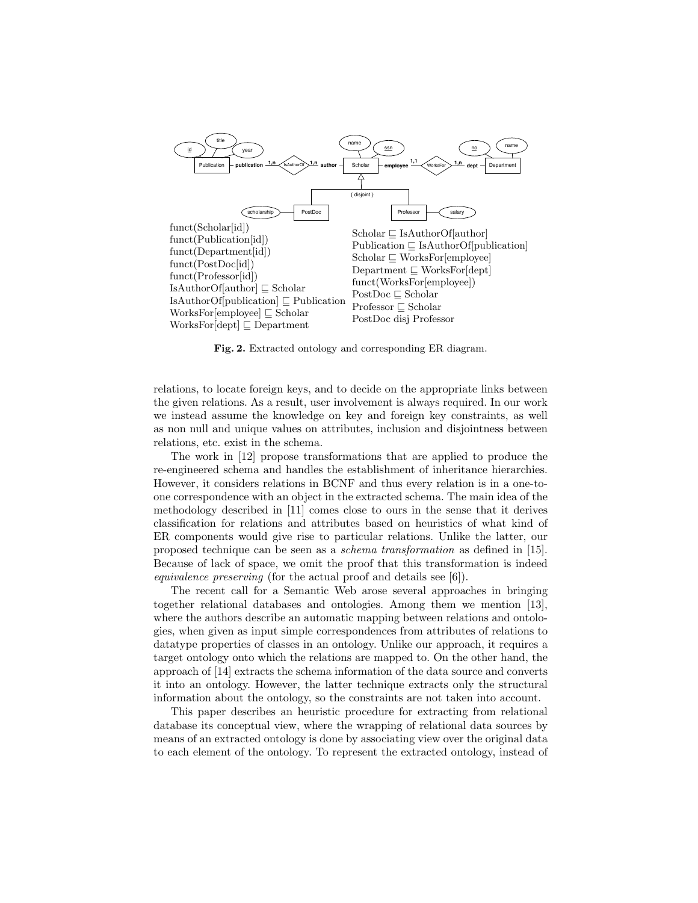

Fig. 2. Extracted ontology and corresponding ER diagram.

relations, to locate foreign keys, and to decide on the appropriate links between the given relations. As a result, user involvement is always required. In our work we instead assume the knowledge on key and foreign key constraints, as well as non null and unique values on attributes, inclusion and disjointness between relations, etc. exist in the schema.

The work in [12] propose transformations that are applied to produce the re-engineered schema and handles the establishment of inheritance hierarchies. However, it considers relations in BCNF and thus every relation is in a one-toone correspondence with an object in the extracted schema. The main idea of the methodology described in [11] comes close to ours in the sense that it derives classification for relations and attributes based on heuristics of what kind of ER components would give rise to particular relations. Unlike the latter, our proposed technique can be seen as a schema transformation as defined in [15]. Because of lack of space, we omit the proof that this transformation is indeed equivalence preserving (for the actual proof and details see [6]).

The recent call for a Semantic Web arose several approaches in bringing together relational databases and ontologies. Among them we mention [13], where the authors describe an automatic mapping between relations and ontologies, when given as input simple correspondences from attributes of relations to datatype properties of classes in an ontology. Unlike our approach, it requires a target ontology onto which the relations are mapped to. On the other hand, the approach of [14] extracts the schema information of the data source and converts it into an ontology. However, the latter technique extracts only the structural information about the ontology, so the constraints are not taken into account.

This paper describes an heuristic procedure for extracting from relational database its conceptual view, where the wrapping of relational data sources by means of an extracted ontology is done by associating view over the original data to each element of the ontology. To represent the extracted ontology, instead of